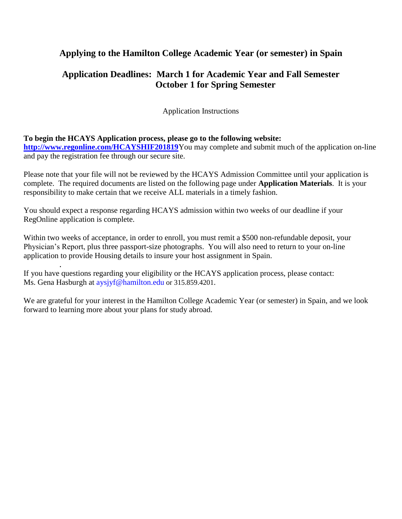## **Applying to the Hamilton College Academic Year (or semester) in Spain**

## **Application Deadlines: March 1 for Academic Year and Fall Semester October 1 for Spring Semester**

Application Instructions

#### **To begin the HCAYS Application process, please go to the following website:**

**<http://www.regonline.com/HCAYSHIF201819>**You may complete and submit much of the application on-line and pay the registration fee through our secure site.

Please note that your file will not be reviewed by the HCAYS Admission Committee until your application is complete. The required documents are listed on the following page under **Application Materials**. It is your responsibility to make certain that we receive ALL materials in a timely fashion.

You should expect a response regarding HCAYS admission within two weeks of our deadline if your RegOnline application is complete.

Within two weeks of acceptance, in order to enroll, you must remit a \$500 non-refundable deposit, your Physician's Report, plus three passport-size photographs. You will also need to return to your on-line application to provide Housing details to insure your host assignment in Spain.

. If you have questions regarding your eligibility or the HCAYS application process, please contact: Ms. Gena Hasburgh at [aysjyf@hamilton.edu](mailto:aysjyf@hamilton.edu) or 315.859.4201.

We are grateful for your interest in the Hamilton College Academic Year (or semester) in Spain, and we look forward to learning more about your plans for study abroad.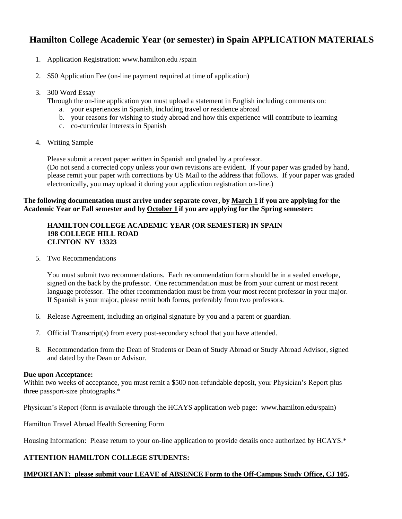## **Hamilton College Academic Year (or semester) in Spain APPLICATION MATERIALS**

- 1. Application Registration: www.hamilton.edu /spain
- 2. \$50 Application Fee (on-line payment required at time of application)
- 3. 300 Word Essay

Through the on-line application you must upload a statement in English including comments on:

- a. your experiences in Spanish, including travel or residence abroad
- b. your reasons for wishing to study abroad and how this experience will contribute to learning
- c. co-curricular interests in Spanish
- 4. Writing Sample

Please submit a recent paper written in Spanish and graded by a professor.

(Do not send a corrected copy unless your own revisions are evident. If your paper was graded by hand, please remit your paper with corrections by US Mail to the address that follows. If your paper was graded electronically, you may upload it during your application registration on-line.)

#### **The following documentation must arrive under separate cover, by March 1 if you are applying for the Academic Year or Fall semester and by October 1 if you are applying for the Spring semester:**

#### **HAMILTON COLLEGE ACADEMIC YEAR (OR SEMESTER) IN SPAIN 198 COLLEGE HILL ROAD CLINTON NY 13323**

5. Two Recommendations

You must submit two recommendations. Each recommendation form should be in a sealed envelope, signed on the back by the professor. One recommendation must be from your current or most recent language professor. The other recommendation must be from your most recent professor in your major. If Spanish is your major, please remit both forms, preferably from two professors.

- 6. Release Agreement, including an original signature by you and a parent or guardian.
- 7. Official Transcript(s) from every post-secondary school that you have attended.
- 8. Recommendation from the Dean of Students or Dean of Study Abroad or Study Abroad Advisor, signed and dated by the Dean or Advisor.

#### **Due upon Acceptance:**

Within two weeks of acceptance, you must remit a \$500 non-refundable deposit, your Physician's Report plus three passport-size photographs.\*

Physician's Report (form is available through the HCAYS application web page: www.hamilton.edu/spain)

Hamilton Travel Abroad Health Screening Form

Housing Information: Please return to your on-line application to provide details once authorized by HCAYS.\*

#### **ATTENTION HAMILTON COLLEGE STUDENTS:**

#### **IMPORTANT: please submit your LEAVE of ABSENCE Form to the Off-Campus Study Office, CJ 105.**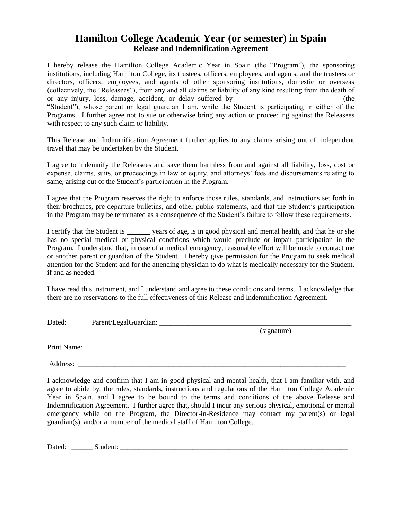## **Hamilton College Academic Year (or semester) in Spain Release and Indemnification Agreement**

I hereby release the Hamilton College Academic Year in Spain (the "Program"), the sponsoring institutions, including Hamilton College, its trustees, officers, employees, and agents, and the trustees or directors, officers, employees, and agents of other sponsoring institutions, domestic or overseas (collectively, the "Releasees"), from any and all claims or liability of any kind resulting from the death of or any injury, loss, damage, accident, or delay suffered by \_\_\_\_\_\_\_\_\_\_\_\_\_\_\_\_\_\_\_\_\_\_\_\_\_\_\_ (the "Student"), whose parent or legal guardian I am, while the Student is participating in either of the Programs. I further agree not to sue or otherwise bring any action or proceeding against the Releasees with respect to any such claim or liability.

This Release and Indemnification Agreement further applies to any claims arising out of independent travel that may be undertaken by the Student.

I agree to indemnify the Releasees and save them harmless from and against all liability, loss, cost or expense, claims, suits, or proceedings in law or equity, and attorneys' fees and disbursements relating to same, arising out of the Student's participation in the Program.

I agree that the Program reserves the right to enforce those rules, standards, and instructions set forth in their brochures, pre-departure bulletins, and other public statements, and that the Student's participation in the Program may be terminated as a consequence of the Student's failure to follow these requirements.

I certify that the Student is years of age, is in good physical and mental health, and that he or she has no special medical or physical conditions which would preclude or impair participation in the Program. I understand that, in case of a medical emergency, reasonable effort will be made to contact me or another parent or guardian of the Student. I hereby give permission for the Program to seek medical attention for the Student and for the attending physician to do what is medically necessary for the Student, if and as needed.

I have read this instrument, and I understand and agree to these conditions and terms. I acknowledge that there are no reservations to the full effectiveness of this Release and Indemnification Agreement.

| Dated:      | Parent/LegalGuardian: |             |
|-------------|-----------------------|-------------|
|             |                       | (signature) |
| Print Name: |                       |             |
|             |                       |             |

Address:

I acknowledge and confirm that I am in good physical and mental health, that I am familiar with, and agree to abide by, the rules, standards, instructions and regulations of the Hamilton College Academic Year in Spain, and I agree to be bound to the terms and conditions of the above Release and Indemnification Agreement. I further agree that, should I incur any serious physical, emotional or mental emergency while on the Program, the Director-in-Residence may contact my parent(s) or legal guardian(s), and/or a member of the medical staff of Hamilton College.

Dated: \_\_\_\_\_\_ Student: \_\_\_\_\_\_\_\_\_\_\_\_\_\_\_\_\_\_\_\_\_\_\_\_\_\_\_\_\_\_\_\_\_\_\_\_\_\_\_\_\_\_\_\_\_\_\_\_\_\_\_\_\_\_\_\_\_\_\_\_\_\_\_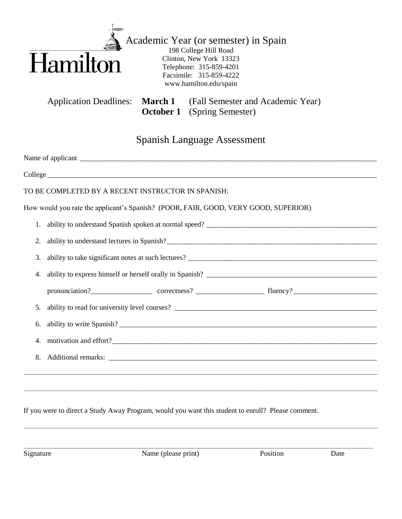

 Academic Year (or semester) in Spain 198 College Hill Road Clinton, New York 13323 Telephone: 315-859-4201 Facsimile: 315-859-4222 www.hamilton.edu/spain

Application Deadlines: **March 1** (Fall Semester and Academic Year) **October 1** (Spring Semester)

# Spanish Language Assessment

| TO BE COMPLETED BY A RECENT INSTRUCTOR IN SPANISH:                                  |  |  |  |  |
|-------------------------------------------------------------------------------------|--|--|--|--|
| How would you rate the applicant's Spanish? (POOR, FAIR, GOOD, VERY GOOD, SUPERIOR) |  |  |  |  |
|                                                                                     |  |  |  |  |
| 2.                                                                                  |  |  |  |  |
| 3.                                                                                  |  |  |  |  |
| 4.                                                                                  |  |  |  |  |
|                                                                                     |  |  |  |  |
| 5.                                                                                  |  |  |  |  |
| 6.                                                                                  |  |  |  |  |
| 4.                                                                                  |  |  |  |  |
| 8.                                                                                  |  |  |  |  |
|                                                                                     |  |  |  |  |
|                                                                                     |  |  |  |  |

If you were to direct a Study Away Program, would you want this student to enroll? Please comment.

\_\_\_\_\_\_\_\_\_\_\_\_\_\_\_\_\_\_\_\_\_\_\_\_\_\_\_\_\_\_\_\_\_\_\_\_\_\_\_\_\_\_\_\_\_\_\_\_\_\_\_\_\_\_\_\_\_\_\_\_\_\_\_\_\_\_\_\_\_\_\_\_\_\_\_\_\_\_\_\_\_\_\_\_\_\_\_\_\_\_\_\_\_\_\_\_\_\_\_\_\_\_\_\_\_\_\_\_\_\_\_\_\_\_\_\_\_\_\_\_\_\_\_\_\_\_\_\_\_\_\_\_

\_\_\_\_\_\_\_\_\_\_\_\_\_\_\_\_\_\_\_\_\_\_\_\_\_\_\_\_\_\_\_\_\_\_\_\_\_\_\_\_\_\_\_\_\_\_\_\_\_\_\_\_\_\_\_\_\_\_\_\_\_\_\_\_\_\_\_\_\_\_\_\_\_\_\_\_\_\_\_\_\_\_\_\_\_\_\_\_\_\_\_\_\_\_\_\_\_\_\_\_\_\_\_\_\_\_\_\_\_\_\_\_\_\_\_\_\_\_\_\_\_\_\_\_\_\_\_\_\_\_\_\_\_

Signature Name (please print) Position Date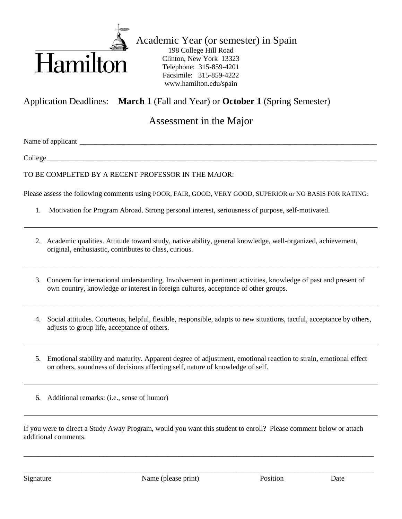

 Academic Year (or semester) in Spain 198 College Hill Road Clinton, New York 13323 Telephone: 315-859-4201 Facsimile: 315-859-4222 www.hamilton.edu/spain

Application Deadlines: **March 1** (Fall and Year) or **October 1** (Spring Semester)

# Assessment in the Major

Name of applicant \_\_\_\_\_\_\_\_\_\_\_\_\_\_\_\_\_\_\_\_\_\_\_\_\_\_\_\_\_\_\_\_\_\_\_\_\_\_\_\_\_\_\_\_\_\_\_\_\_\_\_\_\_\_\_\_\_\_\_\_\_\_\_\_\_\_\_\_\_\_\_\_\_\_\_\_\_\_\_\_\_\_

College \_\_\_\_\_\_\_\_\_\_\_\_\_\_\_\_\_\_\_\_\_\_\_\_\_\_\_\_\_\_\_\_\_\_\_\_\_\_\_\_\_\_\_\_\_\_\_\_\_\_\_\_\_\_\_\_\_\_\_\_\_\_\_\_\_\_\_\_\_\_\_\_\_\_\_\_\_\_\_\_\_\_\_\_\_\_\_\_\_\_\_

TO BE COMPLETED BY A RECENT PROFESSOR IN THE MAJOR:

Please assess the following comments using POOR, FAIR, GOOD, VERY GOOD, SUPERIOR or NO BASIS FOR RATING:

- 1. Motivation for Program Abroad. Strong personal interest, seriousness of purpose, self-motivated.
- 2. Academic qualities. Attitude toward study, native ability, general knowledge, well-organized, achievement, original, enthusiastic, contributes to class, curious.

\_\_\_\_\_\_\_\_\_\_\_\_\_\_\_\_\_\_\_\_\_\_\_\_\_\_\_\_\_\_\_\_\_\_\_\_\_\_\_\_\_\_\_\_\_\_\_\_\_\_\_\_\_\_\_\_\_\_\_\_\_\_\_\_\_\_\_\_\_\_\_\_\_\_\_\_\_\_\_\_\_\_\_\_\_\_\_\_\_\_\_\_\_\_\_\_\_\_\_\_\_\_\_\_\_\_\_\_\_\_\_\_\_\_\_\_\_\_\_\_\_\_\_\_\_\_\_\_\_\_\_\_

3. Concern for international understanding. Involvement in pertinent activities, knowledge of past and present of own country, knowledge or interest in foreign cultures, acceptance of other groups.

\_\_\_\_\_\_\_\_\_\_\_\_\_\_\_\_\_\_\_\_\_\_\_\_\_\_\_\_\_\_\_\_\_\_\_\_\_\_\_\_\_\_\_\_\_\_\_\_\_\_\_\_\_\_\_\_\_\_\_\_\_\_\_\_\_\_\_\_\_\_\_\_\_\_\_\_\_\_\_\_\_\_\_\_\_\_\_\_\_\_\_\_\_\_\_\_\_\_\_\_\_\_\_\_\_\_\_\_\_\_\_\_\_\_\_\_\_\_\_\_\_\_\_\_\_\_\_\_\_\_\_\_

\_\_\_\_\_\_\_\_\_\_\_\_\_\_\_\_\_\_\_\_\_\_\_\_\_\_\_\_\_\_\_\_\_\_\_\_\_\_\_\_\_\_\_\_\_\_\_\_\_\_\_\_\_\_\_\_\_\_\_\_\_\_\_\_\_\_\_\_\_\_\_\_\_\_\_\_\_\_\_\_\_\_\_\_\_\_\_\_\_\_\_\_\_\_\_\_\_\_\_\_\_\_\_\_\_\_\_\_\_\_\_\_\_\_\_\_\_\_\_\_\_\_\_\_\_\_\_\_\_\_\_\_

- 4. Social attitudes. Courteous, helpful, flexible, responsible, adapts to new situations, tactful, acceptance by others, adjusts to group life, acceptance of others.
- 5. Emotional stability and maturity. Apparent degree of adjustment, emotional reaction to strain, emotional effect on others, soundness of decisions affecting self, nature of knowledge of self.

\_\_\_\_\_\_\_\_\_\_\_\_\_\_\_\_\_\_\_\_\_\_\_\_\_\_\_\_\_\_\_\_\_\_\_\_\_\_\_\_\_\_\_\_\_\_\_\_\_\_\_\_\_\_\_\_\_\_\_\_\_\_\_\_\_\_\_\_\_\_\_\_\_\_\_\_\_\_\_\_\_\_\_\_\_\_\_\_\_\_\_\_\_\_\_\_\_\_\_\_\_\_\_\_\_\_\_\_\_\_\_\_\_\_\_\_\_\_\_\_\_\_\_\_\_\_\_\_\_\_\_\_

\_\_\_\_\_\_\_\_\_\_\_\_\_\_\_\_\_\_\_\_\_\_\_\_\_\_\_\_\_\_\_\_\_\_\_\_\_\_\_\_\_\_\_\_\_\_\_\_\_\_\_\_\_\_\_\_\_\_\_\_\_\_\_\_\_\_\_\_\_\_\_\_\_\_\_\_\_\_\_\_\_\_\_\_\_\_\_\_\_\_\_\_\_\_\_\_\_\_\_\_\_\_\_\_\_\_\_\_\_\_\_\_\_\_\_\_\_\_\_\_\_\_\_\_\_\_\_\_\_\_\_\_

\_\_\_\_\_\_\_\_\_\_\_\_\_\_\_\_\_\_\_\_\_\_\_\_\_\_\_\_\_\_\_\_\_\_\_\_\_\_\_\_\_\_\_\_\_\_\_\_\_\_\_\_\_\_\_\_\_\_\_\_\_\_\_\_\_\_\_\_\_\_\_\_\_\_\_\_\_\_\_\_\_\_\_\_\_\_\_\_\_\_\_\_\_\_\_\_\_\_\_\_\_\_\_\_\_\_\_\_\_\_\_\_\_\_\_\_\_\_\_\_\_\_\_\_\_\_\_\_\_\_\_\_

6. Additional remarks: (i.e., sense of humor)

If you were to direct a Study Away Program, would you want this student to enroll? Please comment below or attach additional comments.

\_\_\_\_\_\_\_\_\_\_\_\_\_\_\_\_\_\_\_\_\_\_\_\_\_\_\_\_\_\_\_\_\_\_\_\_\_\_\_\_\_\_\_\_\_\_\_\_\_\_\_\_\_\_\_\_\_\_\_\_\_\_\_\_\_\_\_\_\_\_\_\_\_\_\_\_\_\_\_\_\_\_\_\_\_\_\_\_\_\_\_\_\_\_\_\_\_

\_\_\_\_\_\_\_\_\_\_\_\_\_\_\_\_\_\_\_\_\_\_\_\_\_\_\_\_\_\_\_\_\_\_\_\_\_\_\_\_\_\_\_\_\_\_\_\_\_\_\_\_\_\_\_\_\_\_\_\_\_\_\_\_\_\_\_\_\_\_\_\_\_\_\_\_\_\_\_\_\_\_\_\_\_\_\_\_\_\_\_\_\_\_\_\_\_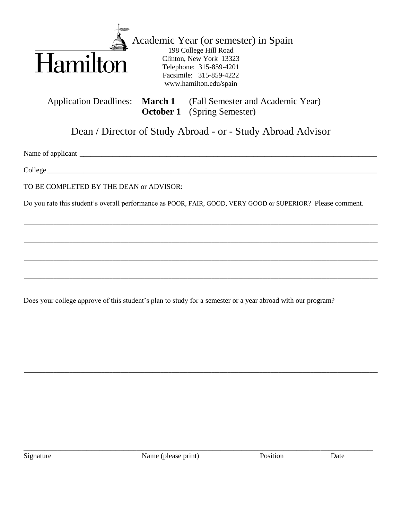

**Application Deadlines:** 

Academic Year (or semester) in Spain 198 College Hill Road Clinton, New York 13323 Telephone: 315-859-4201 Facsimile: 315-859-4222 www.hamilton.edu/spain

(Fall Semester and Academic Year) **March 1 October 1** (Spring Semester)

Dean / Director of Study Abroad - or - Study Abroad Advisor

Name of applicant experience of the state of applicant the state of the state of the state of the state of the state of the state of the state of the state of the state of the state of the state of the state of the state o

 $\text{Collect}$ 

TO BE COMPLETED BY THE DEAN or ADVISOR:

Do you rate this student's overall performance as POOR, FAIR, GOOD, VERY GOOD or SUPERIOR? Please comment.

Does your college approve of this student's plan to study for a semester or a year abroad with our program?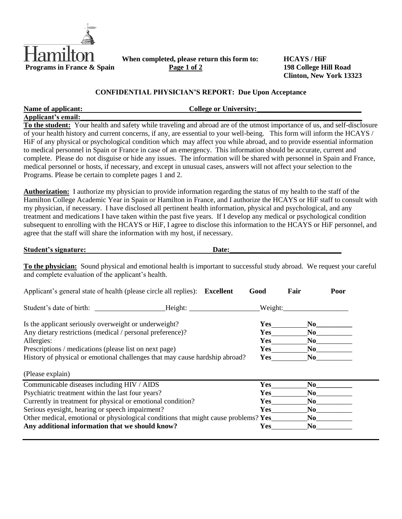

**When completed, please return this form to: HCAYS / HiF**<br>**Page 1 of 2 198 College Hill Road** 

**Clinton, New York 13323**

### **CONFIDENTIAL PHYSICIAN'S REPORT: Due Upon Acceptance**

| Name of applicant:                                                                                                                                                                                                                                                                                                                                                                                                                                                                                                                                                                                                                                                                                                                                                                                                                      |  | <b>College or University:</b> |      |        |      |  |
|-----------------------------------------------------------------------------------------------------------------------------------------------------------------------------------------------------------------------------------------------------------------------------------------------------------------------------------------------------------------------------------------------------------------------------------------------------------------------------------------------------------------------------------------------------------------------------------------------------------------------------------------------------------------------------------------------------------------------------------------------------------------------------------------------------------------------------------------|--|-------------------------------|------|--------|------|--|
| Applicant's email:<br>To the student: Your health and safety while traveling and abroad are of the utmost importance of us, and self-disclosure<br>of your health history and current concerns, if any, are essential to your well-being. This form will inform the HCAYS /<br>HiF of any physical or psychological condition which may affect you while abroad, and to provide essential information<br>to medical personnel in Spain or France in case of an emergency. This information should be accurate, current and<br>complete. Please do not disguise or hide any issues. The information will be shared with personnel in Spain and France,<br>medical personnel or hosts, if necessary, and except in unusual cases, answers will not affect your selection to the<br>Programs. Please be certain to complete pages 1 and 2. |  |                               |      |        |      |  |
| <b>Authorization:</b> I authorize my physician to provide information regarding the status of my health to the staff of the<br>Hamilton College Academic Year in Spain or Hamilton in France, and I authorize the HCAYS or HiF staff to consult with<br>my physician, if necessary. I have disclosed all pertinent health information, physical and psychological, and any<br>treatment and medications I have taken within the past five years. If I develop any medical or psychological condition<br>subsequent to enrolling with the HCAYS or HiF, I agree to disclose this information to the HCAYS or HiF personnel, and<br>agree that the staff will share the information with my host, if necessary.                                                                                                                           |  |                               |      |        |      |  |
| <b>Student's signature:</b>                                                                                                                                                                                                                                                                                                                                                                                                                                                                                                                                                                                                                                                                                                                                                                                                             |  | Date:                         |      |        |      |  |
| To the physician: Sound physical and emotional health is important to successful study abroad. We request your careful<br>and complete evaluation of the applicant's health.                                                                                                                                                                                                                                                                                                                                                                                                                                                                                                                                                                                                                                                            |  |                               |      |        |      |  |
| Applicant's general state of health (please circle all replies): Excellent                                                                                                                                                                                                                                                                                                                                                                                                                                                                                                                                                                                                                                                                                                                                                              |  |                               | Good | Fair   | Poor |  |
| Student's date of birth: _____________________Height: _____________________Weight: _________________                                                                                                                                                                                                                                                                                                                                                                                                                                                                                                                                                                                                                                                                                                                                    |  |                               |      |        |      |  |
| Is the applicant seriously overweight or underweight?                                                                                                                                                                                                                                                                                                                                                                                                                                                                                                                                                                                                                                                                                                                                                                                   |  |                               |      | Yes No |      |  |

| to the applicant seriously over meight of under meight.                     | --         | .  |  |
|-----------------------------------------------------------------------------|------------|----|--|
| Any dietary restrictions (medical / personal preference)?                   | <b>Yes</b> | No |  |
| Allergies:                                                                  | Yes        | No |  |
| Prescriptions / medications (please list on next page)                      | Yes        | No |  |
| History of physical or emotional challenges that may cause hardship abroad? | Yes        | No |  |
|                                                                             |            |    |  |

(Please explain)

| Communicable diseases including HIV / AIDS                                          | Yes |    |
|-------------------------------------------------------------------------------------|-----|----|
| Psychiatric treatment within the last four years?                                   | Yes |    |
| Currently in treatment for physical or emotional condition?                         | Yes | No |
| Serious eyesight, hearing or speech impairment?                                     | Yes |    |
| Other medical, emotional or physiological conditions that might cause problems? Yes |     |    |
| Any additional information that we should know?                                     | Yes |    |
|                                                                                     |     |    |